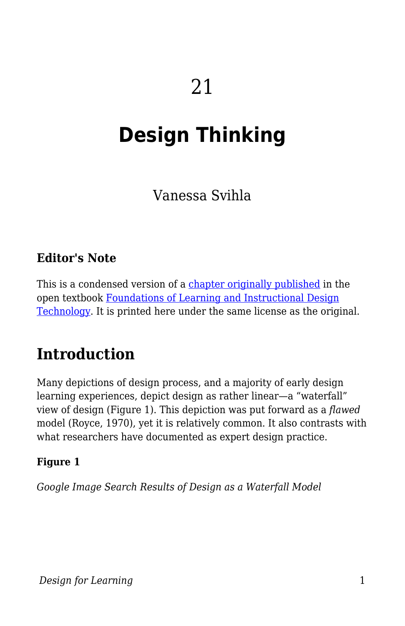# **Design Thinking**

Vanessa Svihla

### **Editor's Note**

This is a condensed version of a [chapter originally published](https://edtechbooks.org/lidtfoundations/design_thinking_and_agile_design) in the open textbook [Foundations of Learning and Instructional Design](https://edtechbooks.org/lidtfoundations) [Technology.](https://edtechbooks.org/lidtfoundations) It is printed here under the same license as the original.

## **Introduction**

Many depictions of design process, and a majority of early design learning experiences, depict design as rather linear—a "waterfall" view of design (Figure 1). This depiction was put forward as a *flawed* model (Royce, 1970), yet it is relatively common. It also contrasts with what researchers have documented as expert design practice.

#### **Figure 1**

*Google Image Search Results of Design as a Waterfall Model*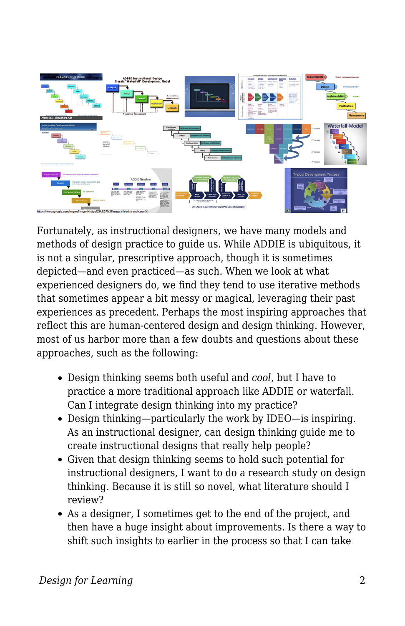

Fortunately, as instructional designers, we have many models and methods of design practice to guide us. While ADDIE is ubiquitous, it is not a singular, prescriptive approach, though it is sometimes depicted—and even practiced—as such. When we look at what experienced designers do, we find they tend to use iterative methods that sometimes appear a bit messy or magical, leveraging their past experiences as precedent. Perhaps the most inspiring approaches that reflect this are human-centered design and design thinking. However, most of us harbor more than a few doubts and questions about these approaches, such as the following:

- Design thinking seems both useful and *cool*, but I have to practice a more traditional approach like ADDIE or waterfall. Can I integrate design thinking into my practice?
- Design thinking—particularly the work by IDEO—is inspiring. As an instructional designer, can design thinking guide me to create instructional designs that really help people?
- Given that design thinking seems to hold such potential for instructional designers, I want to do a research study on design thinking. Because it is still so novel, what literature should I review?
- As a designer, I sometimes get to the end of the project, and then have a huge insight about improvements. Is there a way to shift such insights to earlier in the process so that I can take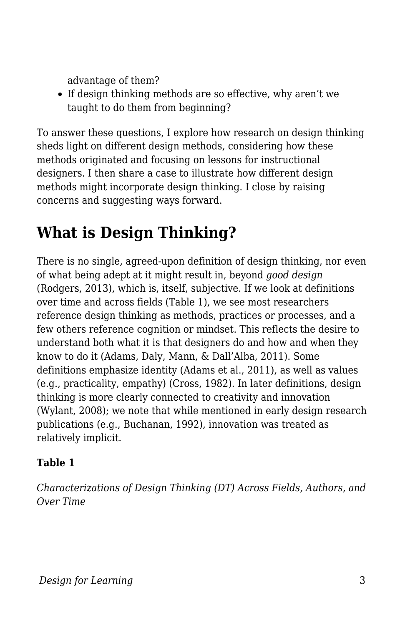advantage of them?

If design thinking methods are so effective, why aren't we taught to do them from beginning?

To answer these questions, I explore how research on design thinking sheds light on different design methods, considering how these methods originated and focusing on lessons for instructional designers. I then share a case to illustrate how different design methods might incorporate design thinking. I close by raising concerns and suggesting ways forward.

# **What is Design Thinking?**

There is no single, agreed-upon definition of design thinking, nor even of what being adept at it might result in, beyond *good design* (Rodgers, 2013), which is, itself, subjective. If we look at definitions over time and across fields (Table 1), we see most researchers reference design thinking as methods, practices or processes, and a few others reference cognition or mindset. This reflects the desire to understand both what it is that designers do and how and when they know to do it (Adams, Daly, Mann, & Dall'Alba, 2011). Some definitions emphasize identity (Adams et al., 2011), as well as values (e.g., practicality, empathy) (Cross, 1982). In later definitions, design thinking is more clearly connected to creativity and innovation (Wylant, 2008); we note that while mentioned in early design research publications (e.g., Buchanan, 1992), innovation was treated as relatively implicit.

#### **Table 1**

*Characterizations of Design Thinking (DT) Across Fields, Authors, and Over Time*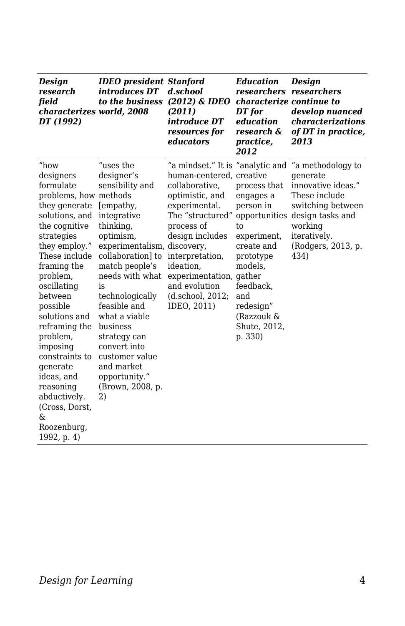| <b>Design</b><br>research<br>field<br>characterizes world, 2008<br>DT (1992)                                                                                                                                                                                                                                                                                                                                           | <b>IDEO</b> president Stanford<br>introduces DT<br>to the business                                                                                                                                                                                                                                                                                                         | d.school<br>(2012) & IDEO<br>(2011)<br>introduce DT<br>resources for<br>educators                                                                                                                                                                                                      | <b>Education</b><br>researchers researchers<br>characterize continue to<br>DT for<br>education<br>research &<br>practice,<br>2012                                                            | <b>Design</b><br>develop nuanced<br><i>characterizations</i><br>of DT in practice,<br>2013                                                                             |
|------------------------------------------------------------------------------------------------------------------------------------------------------------------------------------------------------------------------------------------------------------------------------------------------------------------------------------------------------------------------------------------------------------------------|----------------------------------------------------------------------------------------------------------------------------------------------------------------------------------------------------------------------------------------------------------------------------------------------------------------------------------------------------------------------------|----------------------------------------------------------------------------------------------------------------------------------------------------------------------------------------------------------------------------------------------------------------------------------------|----------------------------------------------------------------------------------------------------------------------------------------------------------------------------------------------|------------------------------------------------------------------------------------------------------------------------------------------------------------------------|
| "how<br>designers<br>formulate<br>problems, how methods<br>they generate<br>solutions, and<br>the cognitive<br>strategies<br>they employ."<br>These include<br>framing the<br>problem,<br>oscillating<br>between<br>possible<br>solutions and<br>reframing the<br>problem,<br>imposing<br>constraints to<br>generate<br>ideas, and<br>reasoning<br>abductively.<br>(Cross, Dorst,<br>&<br>Roozenburg,<br>1992, p. $4)$ | "uses the<br>designer's<br>sensibility and<br>[empathy,<br>integrative<br>thinking,<br>optimism,<br>experimentalism, discovery,<br>collaboration] to<br>match people's<br>needs with what<br>is<br>technologically<br>feasible and<br>what a viable<br>business<br>strategy can<br>convert into<br>customer value<br>and market<br>opportunity."<br>(Brown, 2008, p.<br>2) | "a mindset." It is "analytic and<br>human-centered, creative<br>collaborative,<br>optimistic, and<br>experimental.<br>The "structured"<br>process of<br>design includes<br>interpretation,<br>ideation,<br>experimentation, gather<br>and evolution<br>(d.school, 2012;<br>IDEO, 2011) | process that<br>engages a<br>person in<br>opportunities<br>to<br>experiment,<br>create and<br>prototype<br>models,<br>feedback.<br>and<br>redesign"<br>(Razzouk &<br>Shute, 2012,<br>p. 330) | "a methodology to<br>generate<br>innovative ideas."<br>These include<br>switching between<br>design tasks and<br>working<br>iteratively.<br>(Rodgers, 2013, p.<br>434) |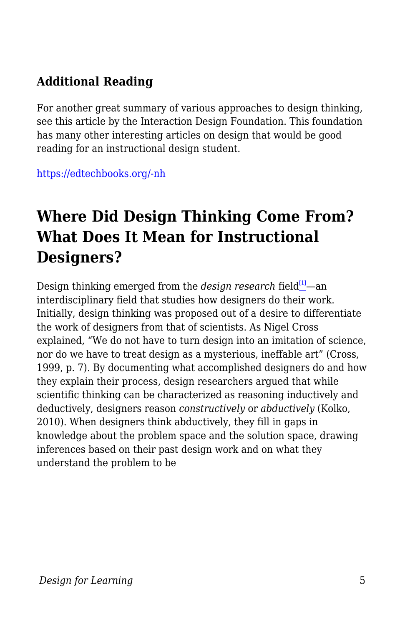### **Additional Reading**

For another great summary of various approaches to design thinking, see this article by the Interaction Design Foundation. This foundation has many other interesting articles on design that would be good reading for an instructional design student.

[https://edtechbooks.org/-nh](https://www.interaction-design.org/literature/article/design-thinking-a-quick-overview)

## **Where Did Design Thinking Come From? What Does It Mean for Instructional Designers?**

Design thinking emerged from the *design research* field<sup>[\[1\]](#page--1-0)</sup>—an interdisciplinary field that studies how designers do their work. Initially, design thinking was proposed out of a desire to differentiate the work of designers from that of scientists. As Nigel Cross explained, "We do not have to turn design into an imitation of science, nor do we have to treat design as a mysterious, ineffable art" (Cross, 1999, p. 7). By documenting what accomplished designers do and how they explain their process, design researchers argued that while scientific thinking can be characterized as reasoning inductively and deductively, designers reason *constructively* or *abductively* (Kolko, 2010). When designers think abductively, they fill in gaps in knowledge about the problem space and the solution space, drawing inferences based on their past design work and on what they understand the problem to be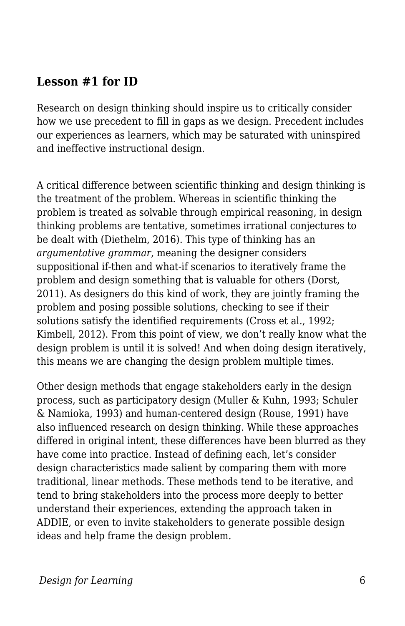#### **Lesson #1 for ID**

Research on design thinking should inspire us to critically consider how we use precedent to fill in gaps as we design. Precedent includes our experiences as learners, which may be saturated with uninspired and ineffective instructional design.

A critical difference between scientific thinking and design thinking is the treatment of the problem. Whereas in scientific thinking the problem is treated as solvable through empirical reasoning, in design thinking problems are tentative, sometimes irrational conjectures to be dealt with (Diethelm, 2016). This type of thinking has an *argumentative grammar,* meaning the designer considers suppositional if-then and what-if scenarios to iteratively frame the problem and design something that is valuable for others (Dorst, 2011). As designers do this kind of work, they are jointly framing the problem and posing possible solutions, checking to see if their solutions satisfy the identified requirements (Cross et al., 1992; Kimbell, 2012). From this point of view, we don't really know what the design problem is until it is solved! And when doing design iteratively, this means we are changing the design problem multiple times.

Other design methods that engage stakeholders early in the design process, such as participatory design (Muller & Kuhn, 1993; Schuler & Namioka, 1993) and human-centered design (Rouse, 1991) have also influenced research on design thinking. While these approaches differed in original intent, these differences have been blurred as they have come into practice. Instead of defining each, let's consider design characteristics made salient by comparing them with more traditional, linear methods. These methods tend to be iterative, and tend to bring stakeholders into the process more deeply to better understand their experiences, extending the approach taken in ADDIE, or even to invite stakeholders to generate possible design ideas and help frame the design problem.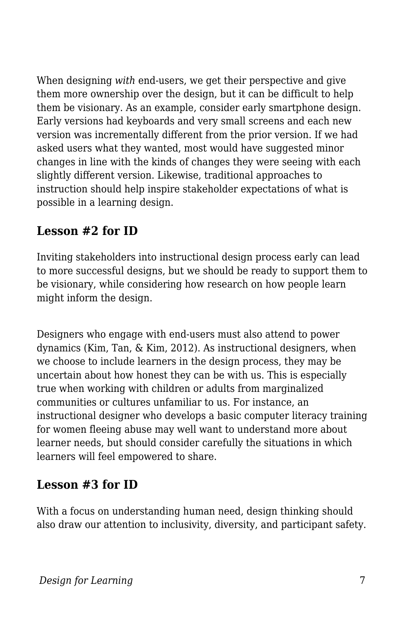When designing *with* end-users, we get their perspective and give them more ownership over the design, but it can be difficult to help them be visionary. As an example, consider early smartphone design. Early versions had keyboards and very small screens and each new version was incrementally different from the prior version. If we had asked users what they wanted, most would have suggested minor changes in line with the kinds of changes they were seeing with each slightly different version. Likewise, traditional approaches to instruction should help inspire stakeholder expectations of what is possible in a learning design.

### **Lesson #2 for ID**

Inviting stakeholders into instructional design process early can lead to more successful designs, but we should be ready to support them to be visionary, while considering how research on how people learn might inform the design.

Designers who engage with end-users must also attend to power dynamics (Kim, Tan, & Kim, 2012). As instructional designers, when we choose to include learners in the design process, they may be uncertain about how honest they can be with us. This is especially true when working with children or adults from marginalized communities or cultures unfamiliar to us. For instance, an instructional designer who develops a basic computer literacy training for women fleeing abuse may well want to understand more about learner needs, but should consider carefully the situations in which learners will feel empowered to share.

#### **Lesson #3 for ID**

With a focus on understanding human need, design thinking should also draw our attention to inclusivity, diversity, and participant safety.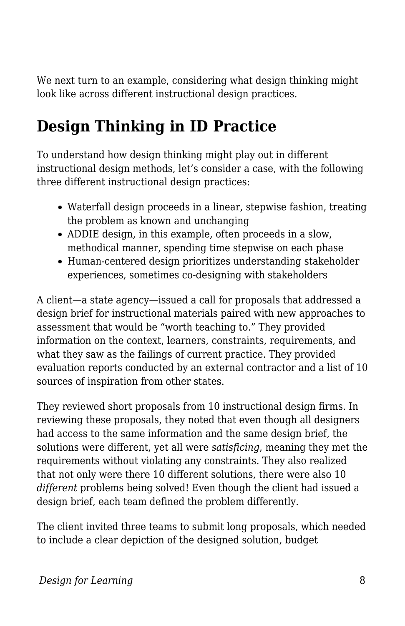We next turn to an example, considering what design thinking might look like across different instructional design practices.

## **Design Thinking in ID Practice**

To understand how design thinking might play out in different instructional design methods, let's consider a case, with the following three different instructional design practices:

- Waterfall design proceeds in a linear, stepwise fashion, treating the problem as known and unchanging
- ADDIE design, in this example, often proceeds in a slow, methodical manner, spending time stepwise on each phase
- Human-centered design prioritizes understanding stakeholder experiences, sometimes co-designing with stakeholders

A client—a state agency—issued a call for proposals that addressed a design brief for instructional materials paired with new approaches to assessment that would be "worth teaching to." They provided information on the context, learners, constraints, requirements, and what they saw as the failings of current practice. They provided evaluation reports conducted by an external contractor and a list of 10 sources of inspiration from other states.

They reviewed short proposals from 10 instructional design firms. In reviewing these proposals, they noted that even though all designers had access to the same information and the same design brief, the solutions were different, yet all were *satisficing*, meaning they met the requirements without violating any constraints. They also realized that not only were there 10 different solutions, there were also 10 *different* problems being solved! Even though the client had issued a design brief, each team defined the problem differently.

The client invited three teams to submit long proposals, which needed to include a clear depiction of the designed solution, budget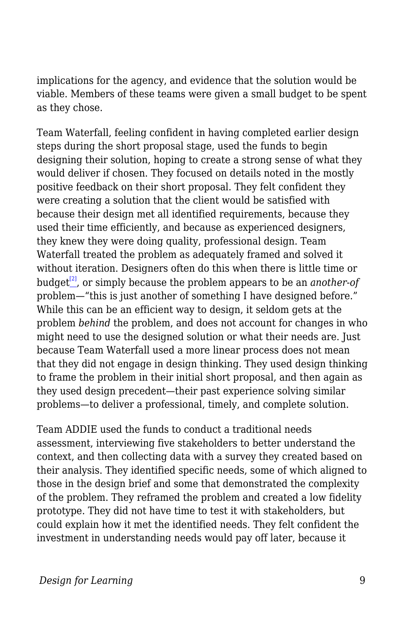implications for the agency, and evidence that the solution would be viable. Members of these teams were given a small budget to be spent as they chose.

Team Waterfall, feeling confident in having completed earlier design steps during the short proposal stage, used the funds to begin designing their solution, hoping to create a strong sense of what they would deliver if chosen. They focused on details noted in the mostly positive feedback on their short proposal. They felt confident they were creating a solution that the client would be satisfied with because their design met all identified requirements, because they used their time efficiently, and because as experienced designers, they knew they were doing quality, professional design. Team Waterfall treated the problem as adequately framed and solved it without iteration. Designers often do this when there is little time or budget[\[2\]](#page--1-0), or simply because the problem appears to be an *another-of* problem—"this is just another of something I have designed before." While this can be an efficient way to design, it seldom gets at the problem *behind* the problem, and does not account for changes in who might need to use the designed solution or what their needs are. Just because Team Waterfall used a more linear process does not mean that they did not engage in design thinking. They used design thinking to frame the problem in their initial short proposal, and then again as they used design precedent—their past experience solving similar problems—to deliver a professional, timely, and complete solution.

Team ADDIE used the funds to conduct a traditional needs assessment, interviewing five stakeholders to better understand the context, and then collecting data with a survey they created based on their analysis. They identified specific needs, some of which aligned to those in the design brief and some that demonstrated the complexity of the problem. They reframed the problem and created a low fidelity prototype. They did not have time to test it with stakeholders, but could explain how it met the identified needs. They felt confident the investment in understanding needs would pay off later, because it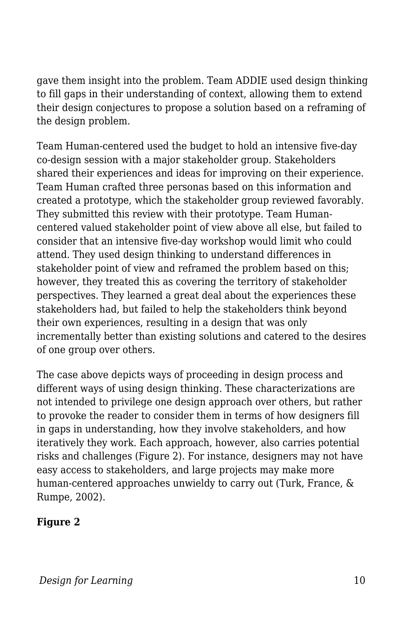gave them insight into the problem. Team ADDIE used design thinking to fill gaps in their understanding of context, allowing them to extend their design conjectures to propose a solution based on a reframing of the design problem.

Team Human-centered used the budget to hold an intensive five-day co-design session with a major stakeholder group. Stakeholders shared their experiences and ideas for improving on their experience. Team Human crafted three personas based on this information and created a prototype, which the stakeholder group reviewed favorably. They submitted this review with their prototype. Team Humancentered valued stakeholder point of view above all else, but failed to consider that an intensive five-day workshop would limit who could attend. They used design thinking to understand differences in stakeholder point of view and reframed the problem based on this; however, they treated this as covering the territory of stakeholder perspectives. They learned a great deal about the experiences these stakeholders had, but failed to help the stakeholders think beyond their own experiences, resulting in a design that was only incrementally better than existing solutions and catered to the desires of one group over others.

The case above depicts ways of proceeding in design process and different ways of using design thinking. These characterizations are not intended to privilege one design approach over others, but rather to provoke the reader to consider them in terms of how designers fill in gaps in understanding, how they involve stakeholders, and how iteratively they work. Each approach, however, also carries potential risks and challenges (Figure 2). For instance, designers may not have easy access to stakeholders, and large projects may make more human-centered approaches unwieldy to carry out (Turk, France, & Rumpe, 2002).

#### **Figure 2**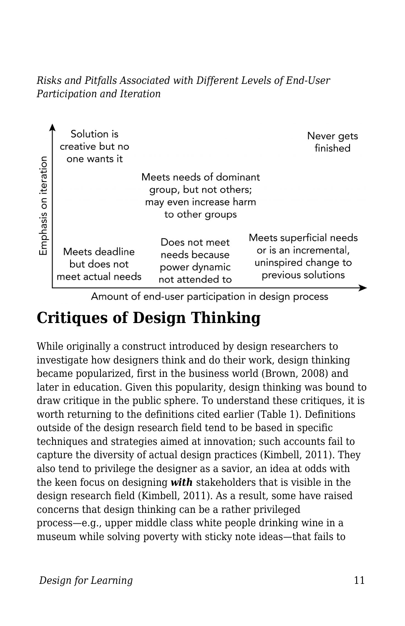*Risks and Pitfalls Associated with Different Levels of End-User Participation and Iteration*



Amount of end-user participation in design process

## **Critiques of Design Thinking**

While originally a construct introduced by design researchers to investigate how designers think and do their work, design thinking became popularized, first in the business world (Brown, 2008) and later in education. Given this popularity, design thinking was bound to draw critique in the public sphere. To understand these critiques, it is worth returning to the definitions cited earlier (Table 1). Definitions outside of the design research field tend to be based in specific techniques and strategies aimed at innovation; such accounts fail to capture the diversity of actual design practices (Kimbell, 2011). They also tend to privilege the designer as a savior, an idea at odds with the keen focus on designing *with* stakeholders that is visible in the design research field (Kimbell, 2011). As a result, some have raised concerns that design thinking can be a rather privileged process—e.g., upper middle class white people drinking wine in a museum while solving poverty with sticky note ideas—that fails to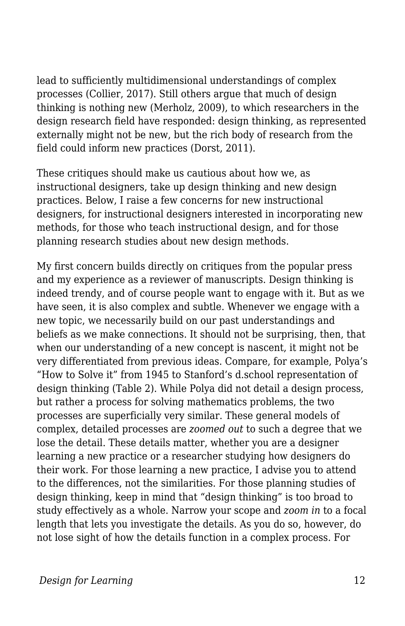lead to sufficiently multidimensional understandings of complex processes (Collier, 2017). Still others argue that much of design thinking is nothing new (Merholz, 2009), to which researchers in the design research field have responded: design thinking, as represented externally might not be new, but the rich body of research from the field could inform new practices (Dorst, 2011).

These critiques should make us cautious about how we, as instructional designers, take up design thinking and new design practices. Below, I raise a few concerns for new instructional designers, for instructional designers interested in incorporating new methods, for those who teach instructional design, and for those planning research studies about new design methods.

My first concern builds directly on critiques from the popular press and my experience as a reviewer of manuscripts. Design thinking is indeed trendy, and of course people want to engage with it. But as we have seen, it is also complex and subtle. Whenever we engage with a new topic, we necessarily build on our past understandings and beliefs as we make connections. It should not be surprising, then, that when our understanding of a new concept is nascent, it might not be very differentiated from previous ideas. Compare, for example, Polya's "How to Solve it" from 1945 to Stanford's d.school representation of design thinking (Table 2). While Polya did not detail a design process, but rather a process for solving mathematics problems, the two processes are superficially very similar. These general models of complex, detailed processes are *zoomed out* to such a degree that we lose the detail. These details matter, whether you are a designer learning a new practice or a researcher studying how designers do their work. For those learning a new practice, I advise you to attend to the differences, not the similarities. For those planning studies of design thinking, keep in mind that "design thinking" is too broad to study effectively as a whole. Narrow your scope and *zoom in* to a focal length that lets you investigate the details. As you do so, however, do not lose sight of how the details function in a complex process. For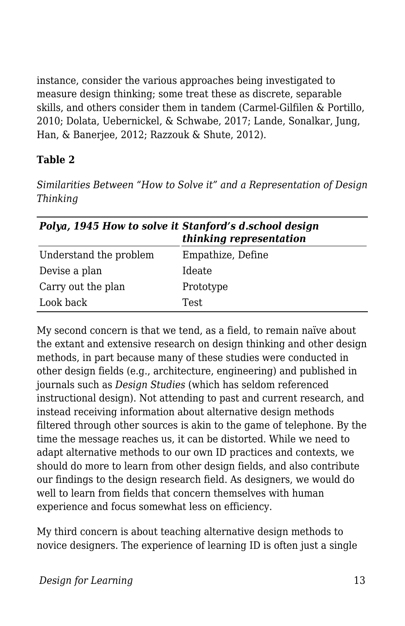instance, consider the various approaches being investigated to measure design thinking; some treat these as discrete, separable skills, and others consider them in tandem (Carmel-Gilfilen & Portillo, 2010; Dolata, Uebernickel, & Schwabe, 2017; Lande, Sonalkar, Jung, Han, & Banerjee, 2012; Razzouk & Shute, 2012).

#### **Table 2**

*Similarities Between "How to Solve it" and a Representation of Design Thinking*

| Polya, 1945 How to solve it Stanford's d.school design | thinking representation |
|--------------------------------------------------------|-------------------------|
| Understand the problem                                 | Empathize, Define       |
| Devise a plan                                          | Ideate                  |
| Carry out the plan                                     | Prototype               |
| Look back                                              | <b>Test</b>             |

My second concern is that we tend, as a field, to remain naïve about the extant and extensive research on design thinking and other design methods, in part because many of these studies were conducted in other design fields (e.g., architecture, engineering) and published in journals such as *Design Studies* (which has seldom referenced instructional design). Not attending to past and current research, and instead receiving information about alternative design methods filtered through other sources is akin to the game of telephone. By the time the message reaches us, it can be distorted. While we need to adapt alternative methods to our own ID practices and contexts, we should do more to learn from other design fields, and also contribute our findings to the design research field. As designers, we would do well to learn from fields that concern themselves with human experience and focus somewhat less on efficiency.

My third concern is about teaching alternative design methods to novice designers. The experience of learning ID is often just a single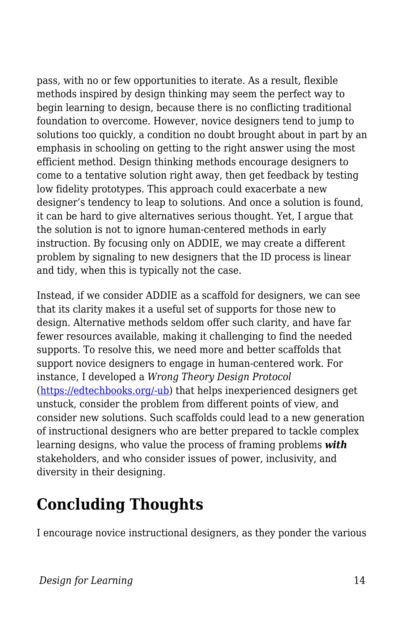pass, with no or few opportunities to iterate. As a result, flexible methods inspired by design thinking may seem the perfect way to begin learning to design, because there is no conflicting traditional foundation to overcome. However, novice designers tend to jump to solutions too quickly, a condition no doubt brought about in part by an emphasis in schooling on getting to the right answer using the most efficient method. Design thinking methods encourage designers to come to a tentative solution right away, then get feedback by testing low fidelity prototypes. This approach could exacerbate a new designer's tendency to leap to solutions. And once a solution is found, it can be hard to give alternatives serious thought. Yet, I argue that the solution is not to ignore human-centered methods in early instruction. By focusing only on ADDIE, we may create a different problem by signaling to new designers that the ID process is linear and tidy, when this is typically not the case.

Instead, if we consider ADDIE as a scaffold for designers, we can see that its clarity makes it a useful set of supports for those new to design. Alternative methods seldom offer such clarity, and have far fewer resources available, making it challenging to find the needed supports. To resolve this, we need more and better scaffolds that support novice designers to engage in human-centered work. For instance, I developed a *Wrong Theory Design Protocol* ([https://edtechbooks.org/-ub](https://sites.google.com/site/iddealab/lab-practices-and-protocols/wrong-theory-design-protocol)) that helps inexperienced designers get unstuck, consider the problem from different points of view, and consider new solutions. Such scaffolds could lead to a new generation of instructional designers who are better prepared to tackle complex learning designs, who value the process of framing problems *with* stakeholders, and who consider issues of power, inclusivity, and diversity in their designing.

# **Concluding Thoughts**

I encourage novice instructional designers, as they ponder the various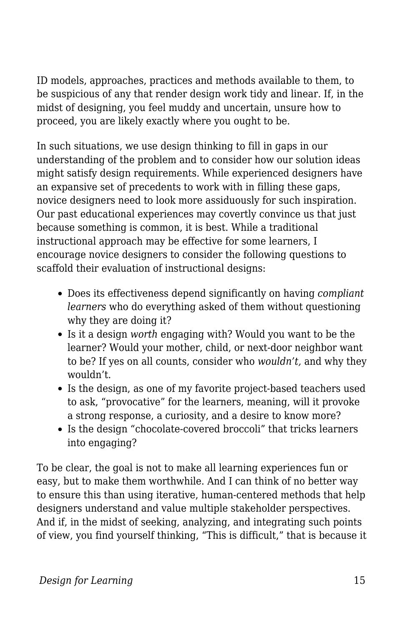ID models, approaches, practices and methods available to them, to be suspicious of any that render design work tidy and linear. If, in the midst of designing, you feel muddy and uncertain, unsure how to proceed, you are likely exactly where you ought to be.

In such situations, we use design thinking to fill in gaps in our understanding of the problem and to consider how our solution ideas might satisfy design requirements. While experienced designers have an expansive set of precedents to work with in filling these gaps, novice designers need to look more assiduously for such inspiration. Our past educational experiences may covertly convince us that just because something is common, it is best. While a traditional instructional approach may be effective for some learners, I encourage novice designers to consider the following questions to scaffold their evaluation of instructional designs:

- Does its effectiveness depend significantly on having *compliant learners* who do everything asked of them without questioning why they are doing it?
- Is it a design *worth* engaging with? Would you want to be the learner? Would your mother, child, or next-door neighbor want to be? If yes on all counts, consider who *wouldn't,* and why they wouldn't.
- Is the design, as one of my favorite project-based teachers used to ask, "provocative" for the learners, meaning, will it provoke a strong response, a curiosity, and a desire to know more?
- Is the design "chocolate-covered broccoli" that tricks learners into engaging?

To be clear, the goal is not to make all learning experiences fun or easy, but to make them worthwhile. And I can think of no better way to ensure this than using iterative, human-centered methods that help designers understand and value multiple stakeholder perspectives. And if, in the midst of seeking, analyzing, and integrating such points of view, you find yourself thinking, "This is difficult," that is because it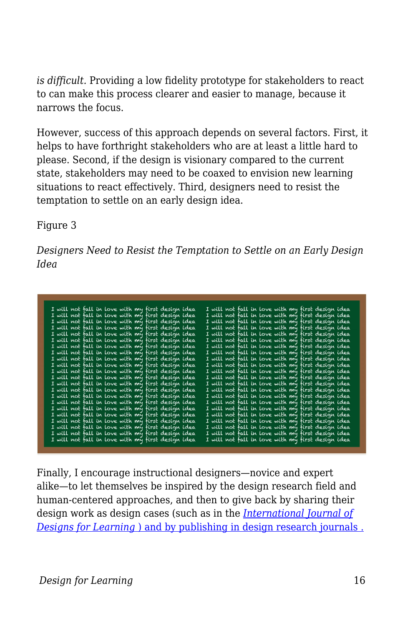*is difficult.* Providing a low fidelity prototype for stakeholders to react to can make this process clearer and easier to manage, because it narrows the focus.

However, success of this approach depends on several factors. First, it helps to have forthright stakeholders who are at least a little hard to please. Second, if the design is visionary compared to the current state, stakeholders may need to be coaxed to envision new learning situations to react effectively. Third, designers need to resist the temptation to settle on an early design idea.

Figure 3

*Designers Need to Resist the Temptation to Settle on an Early Design Idea*

| I will not fall in love with my first design idea |  |  |  |  | I will not fall in love with my first design idea        |  |  |  |
|---------------------------------------------------|--|--|--|--|----------------------------------------------------------|--|--|--|
| I will not fall in love with my first design idea |  |  |  |  | I will not fall in love with my first design idea        |  |  |  |
| I will not fall in love with my first design idea |  |  |  |  | I will not fall in love with my first <u>design idea</u> |  |  |  |
| I will not fall in love with my first design idea |  |  |  |  | I will not fall in love with my first design idea        |  |  |  |
| I will not fall in love with my first design idea |  |  |  |  | I will not fall in love with my first design idea        |  |  |  |
| I will not fall in love with my first design idea |  |  |  |  | I will not fall in love with my first design idea        |  |  |  |
| I will not fall in love with my first design idea |  |  |  |  | I will not fall in love with my first design idea        |  |  |  |
| I will not fall in love with my first design idea |  |  |  |  | I will not fall in love with my first design idea        |  |  |  |
| I will not fall in love with my first design idea |  |  |  |  | I will not fall in love with my first design idea        |  |  |  |
| I will not fall in love with my first design idea |  |  |  |  | I will not fall in love with my first design idea        |  |  |  |
| I will not fall in love with my first design idea |  |  |  |  | I will not fall in love with my first design idea        |  |  |  |
| I will not fall in love with my first design idea |  |  |  |  | I will not fall in love with my first design idea        |  |  |  |
| I will not fall in love with my first design idea |  |  |  |  | I will not fall in love with my first design idea        |  |  |  |
| I will not fall in love with my first design idea |  |  |  |  | I will not fall in love with my first design idea        |  |  |  |
| I will not fall in love with my first design idea |  |  |  |  | I will not fall in love with my first design idea        |  |  |  |
| I will not fall in love with my first design idea |  |  |  |  | I will not fall in love with my first design idea        |  |  |  |
| I will not fall in love with my first design idea |  |  |  |  | I will not fall in love with my first design idea        |  |  |  |
| I will not fall in love with my first design idea |  |  |  |  | I will not fall in love with my first design idea        |  |  |  |
| I will not fall in love with my first design idea |  |  |  |  | I will not fall in love with my first design idea        |  |  |  |
| I will not fall in love with my first design idea |  |  |  |  | I will not fall in love with my first design idea        |  |  |  |
| I will not fall in love with my first design idea |  |  |  |  | I will not fall in love with my first design idea        |  |  |  |
| I will not fall in love with my first design idea |  |  |  |  | I will not fall in love with my first design idea        |  |  |  |

Finally, I encourage instructional designers—novice and expert alike—to let themselves be inspired by the design research field and human-centered approaches, and then to give back by sharing their design work as design cases (such as in the *[International Journal of](https://scholarworks.iu.edu/journals/index.php/ijdl) [Designs for Learning](https://scholarworks.iu.edu/journals/index.php/ijdl)* [\) and by publishing in design research journals .](https://scholarworks.iu.edu/journals/index.php/ijdl)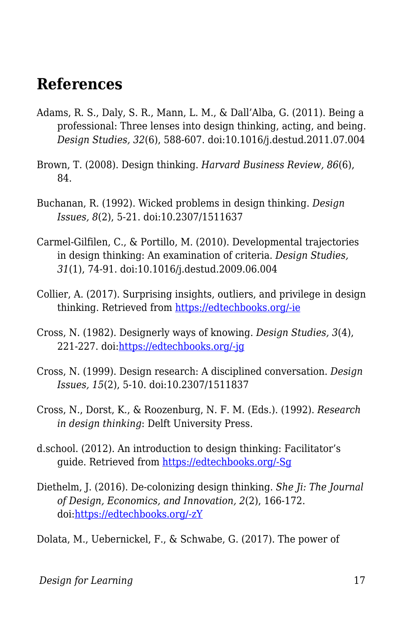### **References**

- Adams, R. S., Daly, S. R., Mann, L. M., & Dall'Alba, G. (2011). Being a professional: Three lenses into design thinking, acting, and being. *Design Studies, 32*(6), 588-607. doi:10.1016/j.destud.2011.07.004
- Brown, T. (2008). Design thinking. *Harvard Business Review, 86*(6), 84.
- Buchanan, R. (1992). Wicked problems in design thinking. *Design Issues, 8*(2), 5-21. doi:10.2307/1511637
- Carmel-Gilfilen, C., & Portillo, M. (2010). Developmental trajectories in design thinking: An examination of criteria. *Design Studies, 31*(1), 74-91. doi:10.1016/j.destud.2009.06.004
- Collier, A. (2017). Surprising insights, outliers, and privilege in design thinking. Retrieved from [https://edtechbooks.org/-ie](http://digitallearning.middcreate.net/reflections/surprising-insights-outliers-and-privilege-in-design-thinking/)
- Cross, N. (1982). Designerly ways of knowing. *Design Studies, 3*(4), 221-227. doi[:https://edtechbooks.org/-jg](https://doi.org/10.1016/0142-694X(82)90040-0)
- Cross, N. (1999). Design research: A disciplined conversation. *Design Issues, 15*(2), 5-10. doi:10.2307/1511837
- Cross, N., Dorst, K., & Roozenburg, N. F. M. (Eds.). (1992). *Research in design thinking*: Delft University Press.
- d.school. (2012). An introduction to design thinking: Facilitator's guide. Retrieved from [https://edtechbooks.org/-Sg](https://static1.squarespace.com/static/57c6b79629687fde090a0fdd/t/58ac891ae4fcb50f1fb2f1ab/1487702304601/Facilitator%27s+Guide_Design+Thinking.pdf)
- Diethelm, J. (2016). De-colonizing design thinking. *She Ji: The Journal of Design, Economics, and Innovation, 2*(2), 166-172. doi[:https://edtechbooks.org/-zY](https://doi.org/10.1016/j.sheji.2016.08.001)
- Dolata, M., Uebernickel, F., & Schwabe, G. (2017). The power of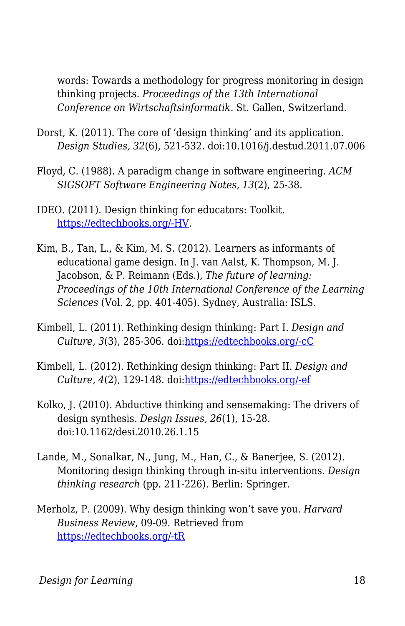words: Towards a methodology for progress monitoring in design thinking projects. *Proceedings of the 13th International Conference on Wirtschaftsinformatik*. St. Gallen, Switzerland.

- Dorst, K. (2011). The core of 'design thinking' and its application. *Design Studies, 32*(6), 521-532. doi:10.1016/j.destud.2011.07.006
- Floyd, C. (1988). A paradigm change in software engineering. *ACM SIGSOFT Software Engineering Notes, 13*(2), 25-38.
- IDEO. (2011). Design thinking for educators: Toolkit. [https://edtechbooks.org/-HV.](http://designthinkingforeducators.com/DTtoolkit_v1_062711.pdf)
- Kim, B., Tan, L., & Kim, M. S. (2012). Learners as informants of educational game design. In J. van Aalst, K. Thompson, M. J. Jacobson, & P. Reimann (Eds.), *The future of learning: Proceedings of the 10th International Conference of the Learning Sciences* (Vol. 2, pp. 401-405). Sydney, Australia: ISLS.
- Kimbell, L. (2011). Rethinking design thinking: Part I. *Design and* Culture, 3(3), 285-306. doi:[https://edtechbooks.org/-cC](http://dx.doi.org/10.2752/175470811X13071166525216)
- Kimbell, L. (2012). Rethinking design thinking: Part II. *Design and Culture, 4*(2), 129-148. doi:[https://edtechbooks.org/-ef](http://dx.doi.org/10.2752/175470812X13281948975413)
- Kolko. I. (2010). Abductive thinking and sensemaking: The drivers of design synthesis. *Design Issues, 26*(1), 15-28. doi:10.1162/desi.2010.26.1.15
- Lande, M., Sonalkar, N., Jung, M., Han, C., & Banerjee, S. (2012). Monitoring design thinking through in-situ interventions. *Design thinking research* (pp. 211-226). Berlin: Springer.
- Merholz, P. (2009). Why design thinking won't save you. *Harvard Business Review*, 09-09. Retrieved from [https://edtechbooks.org/-tR](https://hbr.org/2009/10/why-design-thinking-wont-save.html)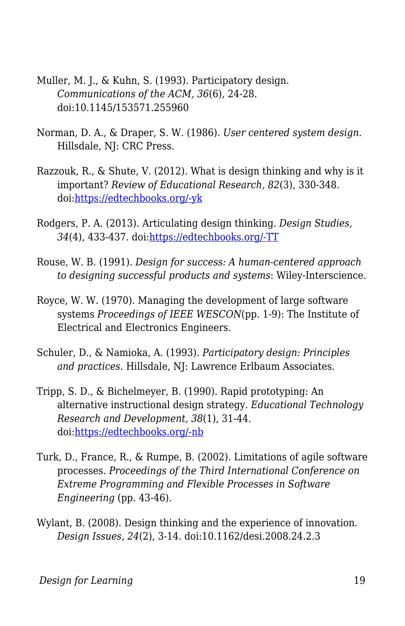- Muller, M. J., & Kuhn, S. (1993). Participatory design. *Communications of the ACM, 36*(6), 24-28. doi:10.1145/153571.255960
- Norman, D. A., & Draper, S. W. (1986). *User centered system design*. Hillsdale, NJ: CRC Press.
- Razzouk, R., & Shute, V. (2012). What is design thinking and why is it important? *Review of Educational Research, 82*(3), 330-348. doi[:https://edtechbooks.org/-yk](https://doi.org/10.3102/0034654312457429)
- Rodgers, P. A. (2013). Articulating design thinking. *Design Studies, 34*(4), 433-437. doi[:https://edtechbooks.org/-TT](http://dx.doi.org/10.1016/j.destud.2013.01.003)
- Rouse, W. B. (1991). *Design for success: A human-centered approach to designing successful products and systems*: Wiley-Interscience.
- Royce, W. W. (1970). Managing the development of large software systems *Proceedings of IEEE WESCON*(pp. 1-9): The Institute of Electrical and Electronics Engineers.
- Schuler, D., & Namioka, A. (1993). *Participatory design: Principles and practices*. Hillsdale, NJ: Lawrence Erlbaum Associates.
- Tripp, S. D., & Bichelmeyer, B. (1990). Rapid prototyping: An alternative instructional design strategy. *Educational Technology Research and Development, 38*(1), 31-44. doi[:https://edtechbooks.org/-nb](https://doi.org/10.1007/BF02298246)
- Turk, D., France, R., & Rumpe, B. (2002). Limitations of agile software processes. *Proceedings of the Third International Conference on Extreme Programming and Flexible Processes in Software Engineering* (pp. 43-46).
- Wylant, B. (2008). Design thinking and the experience of innovation. *Design Issues, 24*(2), 3-14. doi:10.1162/desi.2008.24.2.3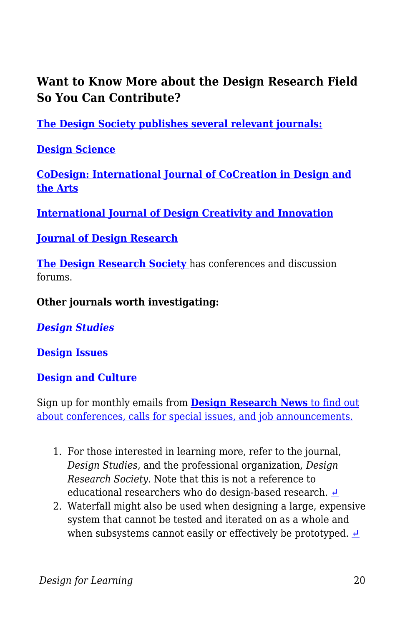### **Want to Know More about the Design Research Field So You Can Contribute?**

**[The Design Society publishes several relevant journals:](https://www.designsociety.org/)**

**[Design Science](https://www.cambridge.org/core/journals/design-science)**

**[CoDesign: International Journal of CoCreation in Design and](http://www.tandfonline.com/loi/ncdn20) [the Arts](http://www.tandfonline.com/loi/ncdn20)**

**[International Journal of Design Creativity and Innovation](http://www.tandfonline.com/toc/tdci20/current)**

#### **[Journal of Design Research](http://www.inderscience.com/jhome.php?jcode=jdr#submission)**

**[The Design Research Society](https://www.designresearchsociety.org/)** has conferences and discussion forums.

**Other journals worth investigating:**

*[Design Studies](https://www.journals.elsevier.com/design-studies)*

**[Design Issues](http://www.mitpressjournals.org/forthcoming/desi)**

**[Design and Culture](http://www.tandfonline.com/loi/rfdc20)**

Sign up for monthly emails from **[Design Research News](https://www.designresearchsociety.org/cpages/home)** [to find out](https://www.designresearchsociety.org/cpages/home) [about conferences, calls for special issues, and job announcements.](https://www.designresearchsociety.org/cpages/home)

- 1. For those interested in learning more, refer to the journal, *Design Studies,* and the professional organization, *Design Research Society.* Note that this is not a reference to educational researchers who do design-based research.  $\triangle$
- 2. Waterfall might also be used when designing a large, expensive system that cannot be tested and iterated on as a whole and when subsystems cannot easily or effectively be prototyped.  $\triangle$